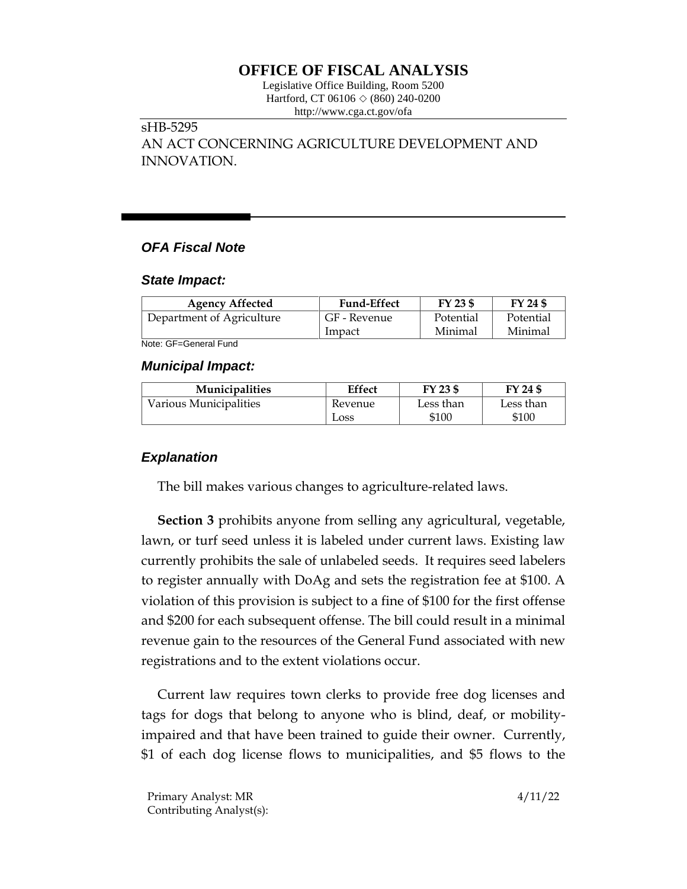# **OFFICE OF FISCAL ANALYSIS**

Legislative Office Building, Room 5200 Hartford, CT 06106  $\Diamond$  (860) 240-0200 http://www.cga.ct.gov/ofa

### sHB-5295

AN ACT CONCERNING AGRICULTURE DEVELOPMENT AND INNOVATION.

## *OFA Fiscal Note*

#### *State Impact:*

| <b>Agency Affected</b>    | <b>Fund-Effect</b> | FY 23 \$  | FY 24 \$  |
|---------------------------|--------------------|-----------|-----------|
| Department of Agriculture | GF - Revenue       | Potential | Potential |
|                           | Impact             | Minimal   | Minimal   |

Note: GF=General Fund

#### *Municipal Impact:*

| <b>Municipalities</b>  | Effect  | FY 23 \$  | FY 24 \$  |
|------------------------|---------|-----------|-----------|
| Various Municipalities | Revenue | Less than | Less than |
|                        | Loss    | \$100     | \$100     |

## *Explanation*

The bill makes various changes to agriculture-related laws.

**Section 3** prohibits anyone from selling any agricultural, vegetable, lawn, or turf seed unless it is labeled under current laws. Existing law currently prohibits the sale of unlabeled seeds. It requires seed labelers to register annually with DoAg and sets the registration fee at \$100. A violation of this provision is subject to a fine of \$100 for the first offense and \$200 for each subsequent offense. The bill could result in a minimal revenue gain to the resources of the General Fund associated with new registrations and to the extent violations occur.

Current law requires town clerks to provide free dog licenses and tags for dogs that belong to anyone who is blind, deaf, or mobilityimpaired and that have been trained to guide their owner. Currently, \$1 of each dog license flows to municipalities, and \$5 flows to the